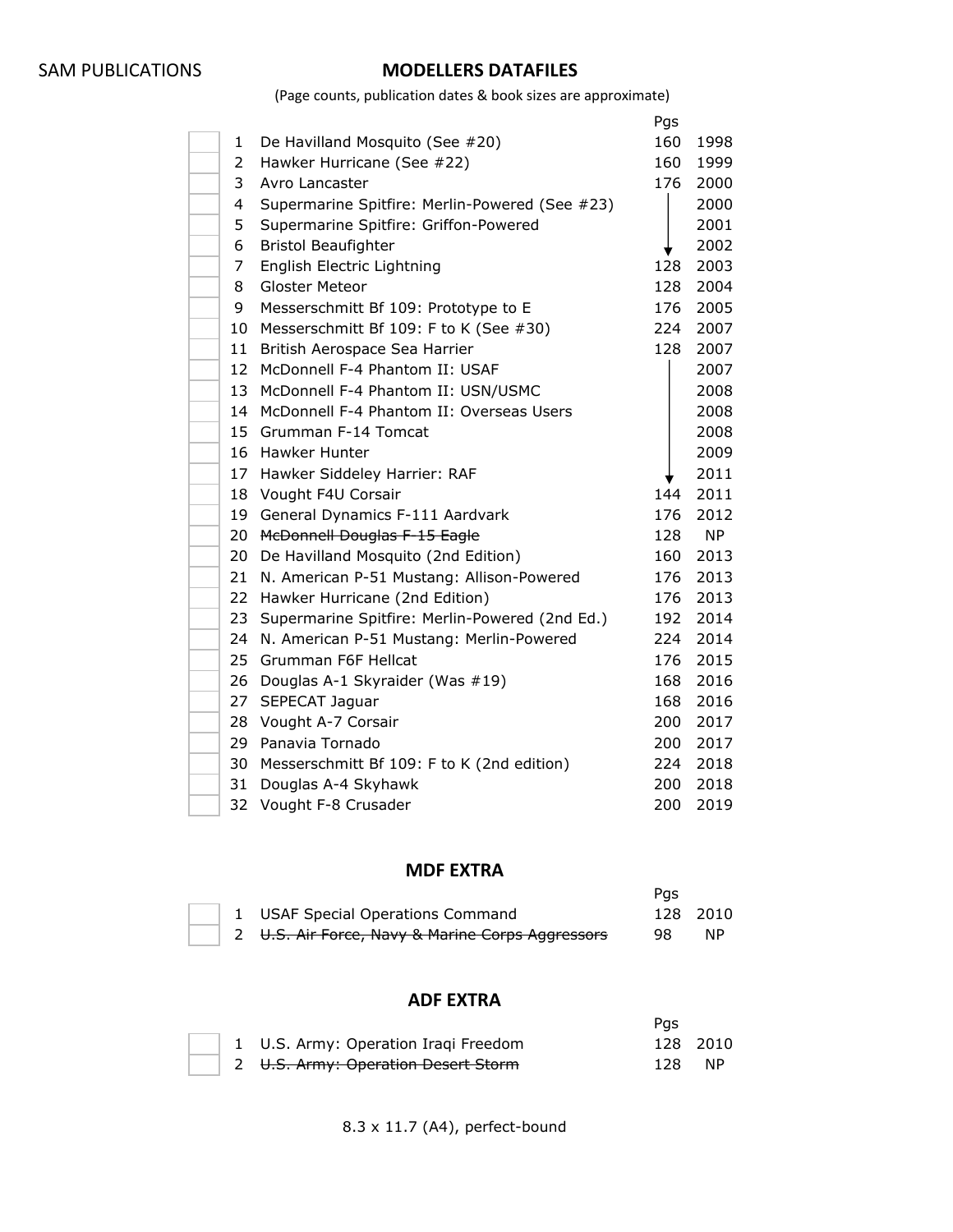### SAM PUBLICATIONS **MODELLERS DATAFILES**

(Page counts, publication dates & book sizes are approximate)

|              |                                                | Pgs |           |
|--------------|------------------------------------------------|-----|-----------|
| $\mathbf{1}$ | De Havilland Mosquito (See #20)                | 160 | 1998      |
| 2            | Hawker Hurricane (See #22)                     | 160 | 1999      |
| 3            | Avro Lancaster                                 | 176 | 2000      |
| 4            | Supermarine Spitfire: Merlin-Powered (See #23) |     | 2000      |
| 5            | Supermarine Spitfire: Griffon-Powered          |     | 2001      |
| 6            | <b>Bristol Beaufighter</b>                     |     | 2002      |
| 7            | English Electric Lightning                     | 128 | 2003      |
| 8            | <b>Gloster Meteor</b>                          | 128 | 2004      |
| 9            | Messerschmitt Bf 109: Prototype to E           | 176 | 2005      |
| 10           | Messerschmitt Bf 109: F to K (See #30)         | 224 | 2007      |
| 11           | British Aerospace Sea Harrier                  | 128 | 2007      |
| 12           | McDonnell F-4 Phantom II: USAF                 |     | 2007      |
| 13           | McDonnell F-4 Phantom II: USN/USMC             |     | 2008      |
| 14           | McDonnell F-4 Phantom II: Overseas Users       |     | 2008      |
| 15           | Grumman F-14 Tomcat                            |     | 2008      |
| 16           | Hawker Hunter                                  |     | 2009      |
| 17           | Hawker Siddeley Harrier: RAF                   |     | 2011      |
| 18           | Vought F4U Corsair                             | 144 | 2011      |
| 19           | General Dynamics F-111 Aardvark                | 176 | 2012      |
| 20           | <b>McDonnell Douglas F-15 Eagle</b>            | 128 | <b>NP</b> |
| 20           | De Havilland Mosquito (2nd Edition)            | 160 | 2013      |
| 21           | N. American P-51 Mustang: Allison-Powered      | 176 | 2013      |
| 22           | Hawker Hurricane (2nd Edition)                 | 176 | 2013      |
| 23           | Supermarine Spitfire: Merlin-Powered (2nd Ed.) | 192 | 2014      |
| 24           | N. American P-51 Mustang: Merlin-Powered       | 224 | 2014      |
| 25           | Grumman F6F Hellcat                            | 176 | 2015      |
| 26           | Douglas A-1 Skyraider (Was #19)                | 168 | 2016      |
| 27           | SEPECAT Jaguar                                 | 168 | 2016      |
| 28           | Vought A-7 Corsair                             | 200 | 2017      |
| 29           | Panavia Tornado                                | 200 | 2017      |
| 30           | Messerschmitt Bf 109: F to K (2nd edition)     | 224 | 2018      |
| 31           | Douglas A-4 Skyhawk                            | 200 | 2018      |
| 32           | Vought F-8 Crusader                            | 200 | 2019      |

#### **MDF EXTRA**

|  |                                                  | Pas |          |
|--|--------------------------------------------------|-----|----------|
|  | 1 USAF Special Operations Command                |     | 128 2010 |
|  | 2 U.S. Air Force, Navy & Marine Corps Aggressors | 98  | NP.      |

#### **ADF EXTRA**

|  |                                      | Pas     |          |
|--|--------------------------------------|---------|----------|
|  | 1 U.S. Army: Operation Iraqi Freedom |         | 128 2010 |
|  | 2 U.S. Army: Operation Desert Storm  | - 128 - | NP.      |

8.3 x 11.7 (A4), perfect-bound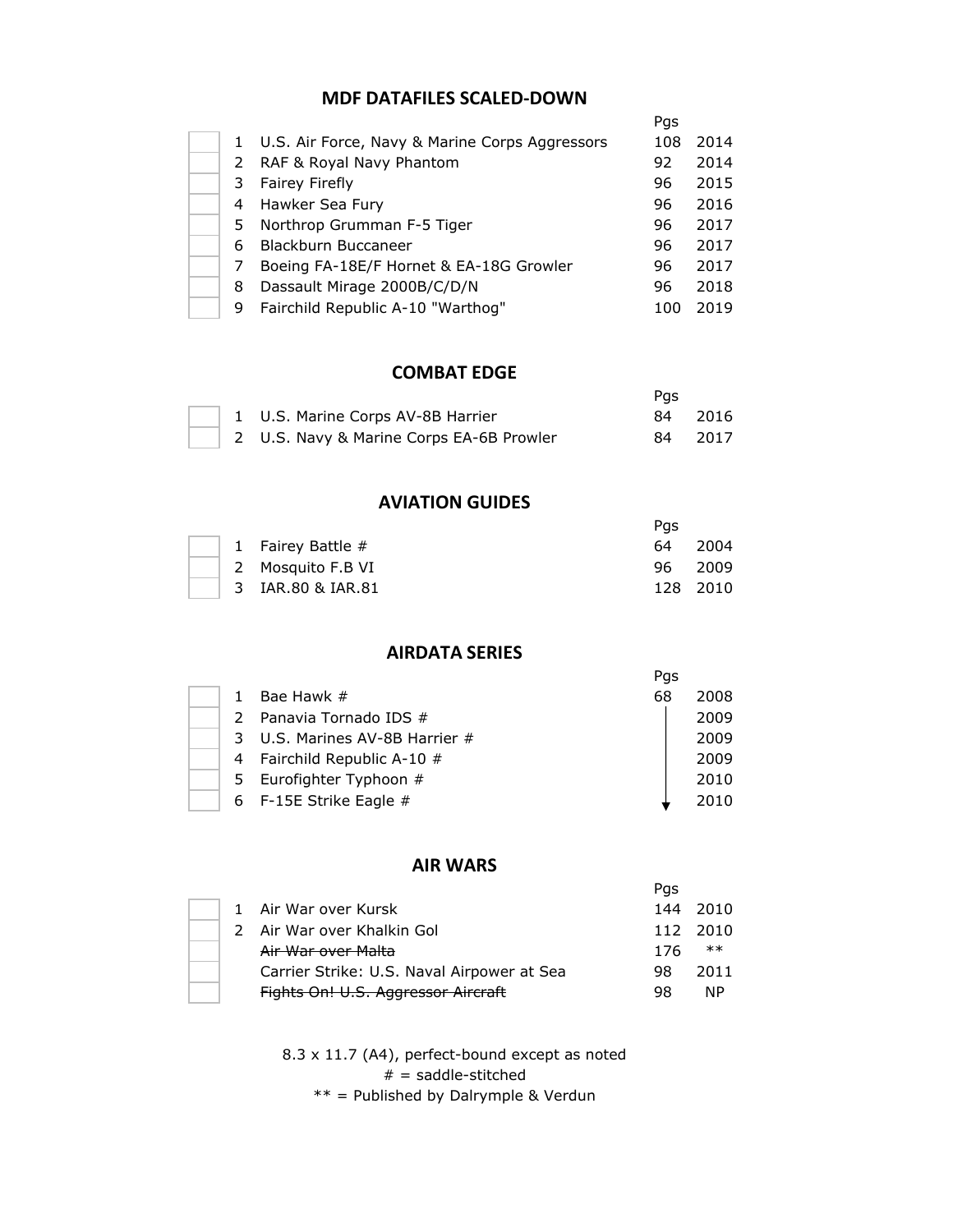### **MDF DATAFILES SCALED-DOWN**

|    |                                                  | Pgs |      |
|----|--------------------------------------------------|-----|------|
|    | 1 U.S. Air Force, Navy & Marine Corps Aggressors | 108 | 2014 |
|    | 2 RAF & Royal Navy Phantom                       | 92  | 2014 |
| 3. | Fairey Firefly                                   | 96  | 2015 |
| 4  | Hawker Sea Fury                                  | 96  | 2016 |
| 5. | Northrop Grumman F-5 Tiger                       | 96  | 2017 |
| 6  | Blackburn Buccaneer                              | 96  | 2017 |
|    | Boeing FA-18E/F Hornet & EA-18G Growler          | 96  | 2017 |
| 8  | Dassault Mirage 2000B/C/D/N                      | 96  | 2018 |
| 9  | Fairchild Republic A-10 "Warthog"                | 100 | 2019 |
|    |                                                  |     |      |

### **COMBAT EDGE**

|  |                                          | Pas |        |
|--|------------------------------------------|-----|--------|
|  | 1 U.S. Marine Corps AV-8B Harrier        | 84. | - 2016 |
|  | 2 U.S. Navy & Marine Corps EA-6B Prowler | 84. | - 2017 |

#### **AVIATION GUIDES**

|  |                     | Pas |          |
|--|---------------------|-----|----------|
|  | 1 Fairey Battle $#$ |     | 64 2004  |
|  | 2 Mosquito F.B VI   |     | 96 2009  |
|  | 3 IAR.80 & IAR.81   |     | 128 2010 |

## **AIRDATA SERIES**

|  |                                | Pgs |      |
|--|--------------------------------|-----|------|
|  | Bae Hawk #                     | 68  | 2008 |
|  | 2 Panavia Tornado IDS #        |     | 2009 |
|  | 3 U.S. Marines AV-8B Harrier # |     | 2009 |
|  | 4 Fairchild Republic A-10 #    |     | 2009 |
|  | 5 Eurofighter Typhoon #        |     | 2010 |
|  | 6 F-15E Strike Eagle #         |     | 2010 |

### **AIR WARS**

|  |                                            | Pas |          |
|--|--------------------------------------------|-----|----------|
|  | 1 Air War over Kursk                       | 144 | - 2010   |
|  | 2 Air War over Khalkin Gol                 |     | 112 2010 |
|  | Air War over Malta                         | 176 | $***$    |
|  | Carrier Strike: U.S. Naval Airpower at Sea | 98  | 2011     |
|  | Fights On! U.S. Aggressor Aircraft         | 98  | ΝP       |

8.3 x 11.7 (A4), perfect-bound except as noted  $# =$  saddle-stitched

\*\* = Published by Dalrymple & Verdun